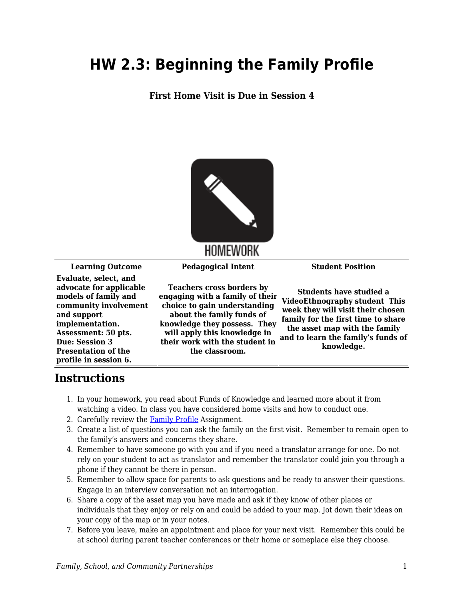## **HW 2.3: Beginning the Family Profile**

**First Home Visit is Due in Session 4**



HOMEWORK

**Learning Outcome Pedagogical Intent Student Position**

**Evaluate, select, and advocate for applicable models of family and community involvement and support implementation. Assessment: 50 pts. Due: Session 3 Presentation of the profile in session 6.**

**Teachers cross borders by engaging with a family of their choice to gain understanding about the family funds of knowledge they possess. They will apply this knowledge in their work with the student in the classroom.**

**Students have studied a VideoEthnography student This week they will visit their chosen family for the first time to share the asset map with the family and to learn the family's funds of knowledge.**

## **Instructions**

- 1. In your homework, you read about Funds of Knowledge and learned more about it from watching a video. In class you have considered home visits and how to conduct one.
- 2. Carefully review the [Family Profile](https://byu.box.com/s/0f5fi1zptxh85riar9jaqm3zul8iqzrp) Assignment.
- 3. Create a list of questions you can ask the family on the first visit. Remember to remain open to the family's answers and concerns they share.
- 4. Remember to have someone go with you and if you need a translator arrange for one. Do not rely on your student to act as translator and remember the translator could join you through a phone if they cannot be there in person.
- 5. Remember to allow space for parents to ask questions and be ready to answer their questions. Engage in an interview conversation not an interrogation.
- 6. Share a copy of the asset map you have made and ask if they know of other places or individuals that they enjoy or rely on and could be added to your map. Jot down their ideas on your copy of the map or in your notes.
- 7. Before you leave, make an appointment and place for your next visit. Remember this could be at school during parent teacher conferences or their home or someplace else they choose.